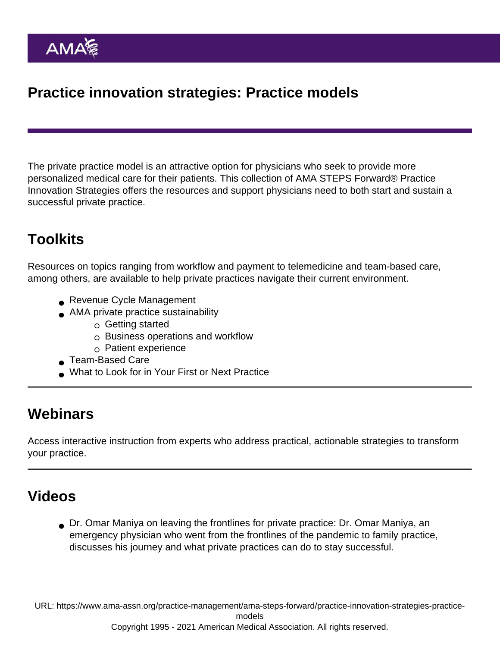# Practice innovation strategies: Practice models

The private practice model is an attractive option for physicians who seek to provide more personalized medical care for their patients. This collection of AMA STEPS Forward® Practice Innovation Strategies offers the resources and support physicians need to both start and sustain a successful private practice.

## Toolkits

Resources on topics ranging from workflow and payment to telemedicine and team-based care, among others, are available to help private practices navigate their current environment.

- [Revenue Cycle Management](https://edhub.ama-assn.org/steps-forward/module/2702603)
- [AMA private practice sustainability](https://www.ama-assn.org/practice-management/private-practices/ama-private-practice-sustainability)
	- [Getting started](https://www.ama-assn.org/practice-management/private-practices/ama-private-practice-sustainability-getting-started)
	- $\circ$  [Business operations and workflow](https://www.ama-assn.org/practice-management/private-practices/ama-private-practice-sustainability-business-operations)
	- $\circ$  [Patient experience](https://www.ama-assn.org/practice-management/private-practices/ama-private-practice-sustainability-patient-experience)
- [Team-Based Care](https://edhub.ama-assn.org/steps-forward/module/2702513)
- [What to Look for in Your First or Next Practice](https://edhub.ama-assn.org/steps-forward/module/2767098)

#### **Webinars**

Access interactive instruction from experts who address practical, actionable strategies to transform your practice.

# Videos

[Dr. Omar Maniya on leaving the frontlines for private practice](https://youtu.be/SG7sRt6mHI4): Dr. Omar Maniya, an emergency physician who went from the frontlines of the pandemic to family practice, discusses his journey and what private practices can do to stay successful.

URL: [https://www.ama-assn.org/practice-management/ama-steps-forward/practice-innovation-strategies-practice](https://www.ama-assn.org/practice-management/ama-steps-forward/practice-innovation-strategies-practice-models)[models](https://www.ama-assn.org/practice-management/ama-steps-forward/practice-innovation-strategies-practice-models)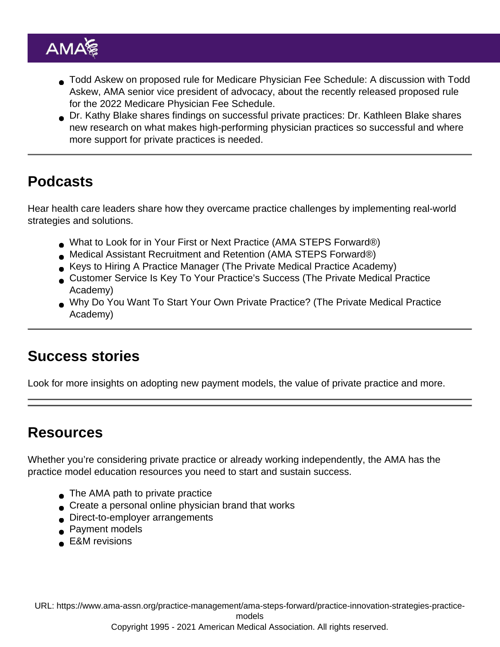- [Todd Askew on proposed rule for Medicare Physician Fee Schedule:](https://youtu.be/F7WP_jCzAcc) A discussion with Todd Askew, AMA senior vice president of advocacy, about the recently released proposed rule for the 2022 Medicare Physician Fee Schedule.
- [Dr. Kathy Blake shares findings on successful private practices](https://www.youtube.com/watch?v=0vuJ7E707VA): Dr. Kathleen Blake shares new research on what makes high-performing physician practices so successful and where more support for private practices is needed.

## Podcasts

Hear health care leaders share how they overcame practice challenges by implementing real-world strategies and solutions.

- [What to Look for in Your First or Next Practice](https://podcasts.apple.com/us/podcast/what-to-look-for-in-your-first-or-next-practice/id1568105695?i=1000529364490) (AMA STEPS Forward®)
- [Medical Assistant Recruitment and Retention](https://podcasts.apple.com/us/podcast/medical-assistant-recruitment-and-retention/id1568105695?i=1000536296934) (AMA STEPS Forward®)
- [Keys to Hiring A Practice Manager](https://podcasts.apple.com/us/podcast/keys-to-hiring-a-practice-manager/id1531585350?i=1000539041154) (The Private Medical Practice Academy)
- [Customer Service Is Key To Your Practice's Success](https://podcasts.apple.com/us/podcast/episode-13-customer-service-is-key-to-your-practices/id1531585350?i=1000501921855) (The Private Medical Practice Academy)
- [Why Do You Want To Start Your Own Private Practice?](https://podcasts.apple.com/us/podcast/episode-1-why-do-you-want-to-start-your-own-private-practice/id1531585350?i=1000491043014) (The Private Medical Practice Academy)

#### Success stories

Look for more insights on adopting new payment models, the value of private practice and more.

#### Resources

Whether you're considering private practice or already working independently, the AMA has the practice model education resources you need to start and sustain success.

- [The AMA path to private practice](https://www.ama-assn.org/practice-management/private-practices/ama-path-private-practice)
- [Create a personal online physician brand that works](https://www.ama-assn.org/delivering-care/patient-support-advocacy/create-personal-online-physician-brand-works)
- [Direct-to-employer arrangements](https://www.ama-assn.org/practice-management/payment-delivery-models/snapshot-physician-employer-engagement-direct-employer)
- [Payment models](https://www.ama-assn.org/practice-management/payment-delivery-models/physician-payment-delivery-models)
- [E&M revisions](https://www.ama-assn.org/practice-management/cpt/cpt-evaluation-and-management)

URL: [https://www.ama-assn.org/practice-management/ama-steps-forward/practice-innovation-strategies-practice-](https://www.ama-assn.org/practice-management/ama-steps-forward/practice-innovation-strategies-practice-models)

[models](https://www.ama-assn.org/practice-management/ama-steps-forward/practice-innovation-strategies-practice-models)